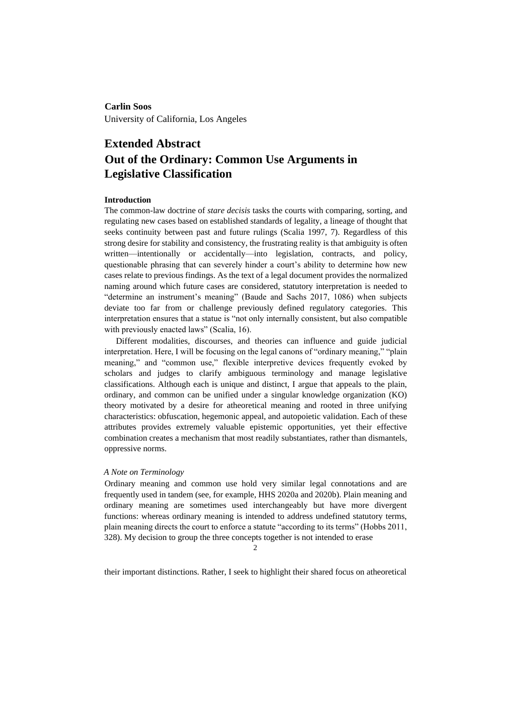# **Carlin Soos**

University of California, Los Angeles

# **Extended Abstract Out of the Ordinary: Common Use Arguments in Legislative Classification**

# **Introduction**

The common-law doctrine of *stare decisis* tasks the courts with comparing, sorting, and regulating new cases based on established standards of legality, a lineage of thought that seeks continuity between past and future rulings (Scalia 1997, 7). Regardless of this strong desire for stability and consistency, the frustrating reality is that ambiguity is often written—intentionally or accidentally—into legislation, contracts, and policy, questionable phrasing that can severely hinder a court's ability to determine how new cases relate to previous findings. As the text of a legal document provides the normalized naming around which future cases are considered, statutory interpretation is needed to "determine an instrument's meaning" (Baude and Sachs 2017, 1086) when subjects deviate too far from or challenge previously defined regulatory categories. This interpretation ensures that a statue is "not only internally consistent, but also compatible with previously enacted laws" (Scalia, 16).

Different modalities, discourses, and theories can influence and guide judicial interpretation. Here, I will be focusing on the legal canons of "ordinary meaning," "plain meaning," and "common use," flexible interpretive devices frequently evoked by scholars and judges to clarify ambiguous terminology and manage legislative classifications. Although each is unique and distinct, I argue that appeals to the plain, ordinary, and common can be unified under a singular knowledge organization (KO) theory motivated by a desire for atheoretical meaning and rooted in three unifying characteristics: obfuscation, hegemonic appeal, and autopoietic validation. Each of these attributes provides extremely valuable epistemic opportunities, yet their effective combination creates a mechanism that most readily substantiates, rather than dismantels, oppressive norms.

#### *A Note on Terminology*

Ordinary meaning and common use hold very similar legal connotations and are frequently used in tandem (see, for example, HHS 2020a and 2020b). Plain meaning and ordinary meaning are sometimes used interchangeably but have more divergent functions: whereas ordinary meaning is intended to address undefined statutory terms, plain meaning directs the court to enforce a statute "according to its terms" (Hobbs 2011, 328). My decision to group the three concepts together is not intended to erase

2

their important distinctions. Rather, I seek to highlight their shared focus on atheoretical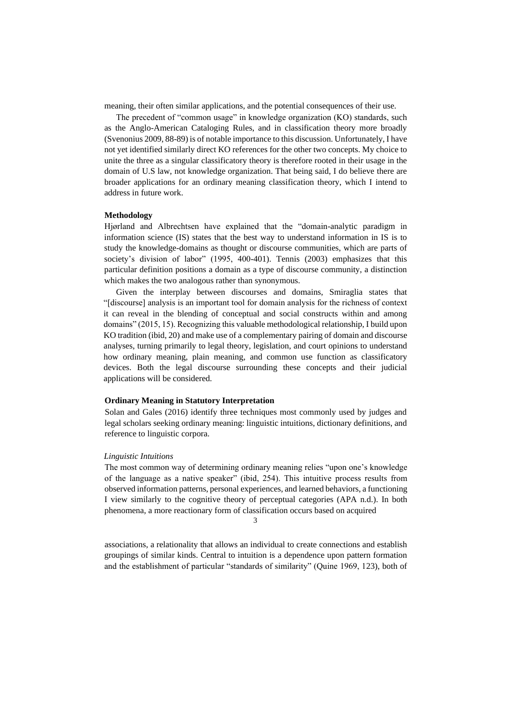meaning, their often similar applications, and the potential consequences of their use.

The precedent of "common usage" in knowledge organization (KO) standards, such as the Anglo-American Cataloging Rules, and in classification theory more broadly (Svenonius 2009, 88-89) is of notable importance to this discussion. Unfortunately, I have not yet identified similarly direct KO references for the other two concepts. My choice to unite the three as a singular classificatory theory is therefore rooted in their usage in the domain of U.S law, not knowledge organization. That being said, I do believe there are broader applications for an ordinary meaning classification theory, which I intend to address in future work.

#### **Methodology**

Hjørland and Albrechtsen have explained that the "domain-analytic paradigm in information science (IS) states that the best way to understand information in IS is to study the knowledge-domains as thought or discourse communities, which are parts of society's division of labor" (1995, 400-401). Tennis (2003) emphasizes that this particular definition positions a domain as a type of discourse community, a distinction which makes the two analogous rather than synonymous.

Given the interplay between discourses and domains, Smiraglia states that "[discourse] analysis is an important tool for domain analysis for the richness of context it can reveal in the blending of conceptual and social constructs within and among domains" (2015, 15). Recognizing this valuable methodological relationship, I build upon KO tradition (ibid, 20) and make use of a complementary pairing of domain and discourse analyses, turning primarily to legal theory, legislation, and court opinions to understand how ordinary meaning, plain meaning, and common use function as classificatory devices. Both the legal discourse surrounding these concepts and their judicial applications will be considered.

# **Ordinary Meaning in Statutory Interpretation**

Solan and Gales (2016) identify three techniques most commonly used by judges and legal scholars seeking ordinary meaning: linguistic intuitions, dictionary definitions, and reference to linguistic corpora.

### *Linguistic Intuitions*

The most common way of determining ordinary meaning relies "upon one's knowledge of the language as a native speaker" (ibid, 254). This intuitive process results from observed information patterns, personal experiences, and learned behaviors, a functioning I view similarly to the cognitive theory of perceptual categories (APA n.d.). In both phenomena, a more reactionary form of classification occurs based on acquired

3

associations, a relationality that allows an individual to create connections and establish groupings of similar kinds. Central to intuition is a dependence upon pattern formation and the establishment of particular "standards of similarity" (Quine 1969, 123), both of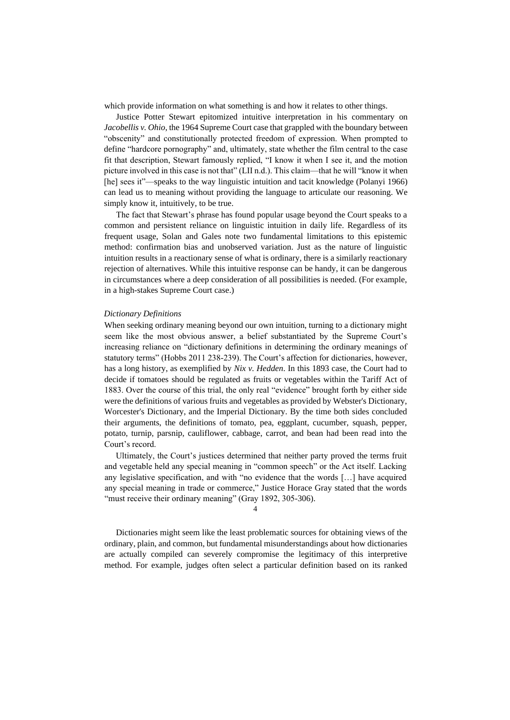which provide information on what something is and how it relates to other things.

Justice Potter Stewart epitomized intuitive interpretation in his commentary on *Jacobellis v. Ohio*, the 1964 Supreme Court case that grappled with the boundary between "obscenity" and constitutionally protected freedom of expression. When prompted to define "hardcore pornography" and, ultimately, state whether the film central to the case fit that description, Stewart famously replied, "I know it when I see it, and the motion picture involved in this case is not that" (LII n.d.). This claim—that he will "know it when [he] sees it"—speaks to the way linguistic intuition and tacit knowledge (Polanyi 1966) can lead us to meaning without providing the language to articulate our reasoning. We simply know it, intuitively, to be true.

The fact that Stewart's phrase has found popular usage beyond the Court speaks to a common and persistent reliance on linguistic intuition in daily life. Regardless of its frequent usage, Solan and Gales note two fundamental limitations to this epistemic method: confirmation bias and unobserved variation. Just as the nature of linguistic intuition results in a reactionary sense of what is ordinary, there is a similarly reactionary rejection of alternatives. While this intuitive response can be handy, it can be dangerous in circumstances where a deep consideration of all possibilities is needed. (For example, in a high-stakes Supreme Court case.)

#### *Dictionary Definitions*

When seeking ordinary meaning beyond our own intuition, turning to a dictionary might seem like the most obvious answer, a belief substantiated by the Supreme Court's increasing reliance on "dictionary definitions in determining the ordinary meanings of statutory terms" (Hobbs 2011 238-239). The Court's affection for dictionaries, however, has a long history, as exemplified by *Nix v. Hedden*. In this 1893 case, the Court had to decide if tomatoes should be regulated as fruits or vegetables within the Tariff Act of 1883. Over the course of this trial, the only real "evidence" brought forth by either side were the definitions of various fruits and vegetables as provided by Webster's Dictionary, Worcester's Dictionary, and the Imperial Dictionary. By the time both sides concluded their arguments, the definitions of tomato, pea, eggplant, cucumber, squash, pepper, potato, turnip, parsnip, cauliflower, cabbage, carrot, and bean had been read into the Court's record.

Ultimately, the Court's justices determined that neither party proved the terms fruit and vegetable held any special meaning in "common speech" or the Act itself. Lacking any legislative specification, and with "no evidence that the words […] have acquired any special meaning in trade or commerce," Justice Horace Gray stated that the words "must receive their ordinary meaning" (Gray 1892, 305-306).

4

Dictionaries might seem like the least problematic sources for obtaining views of the ordinary, plain, and common, but fundamental misunderstandings about how dictionaries are actually compiled can severely compromise the legitimacy of this interpretive method. For example, judges often select a particular definition based on its ranked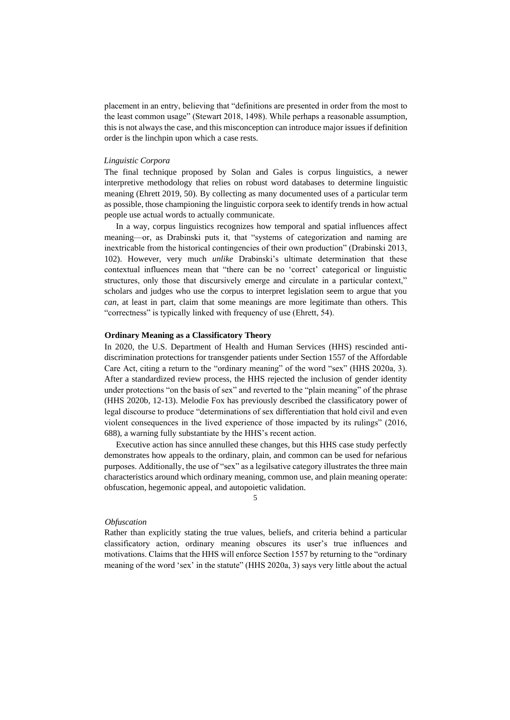placement in an entry, believing that "definitions are presented in order from the most to the least common usage" (Stewart 2018, 1498). While perhaps a reasonable assumption, this is not always the case, and this misconception can introduce major issues if definition order is the linchpin upon which a case rests.

#### *Linguistic Corpora*

The final technique proposed by Solan and Gales is corpus linguistics, a newer interpretive methodology that relies on robust word databases to determine linguistic meaning (Ehrett 2019, 50). By collecting as many documented uses of a particular term as possible, those championing the linguistic corpora seek to identify trends in how actual people use actual words to actually communicate.

In a way, corpus linguistics recognizes how temporal and spatial influences affect meaning—or, as Drabinski puts it, that "systems of categorization and naming are inextricable from the historical contingencies of their own production" (Drabinski 2013, 102). However, very much *unlike* Drabinski's ultimate determination that these contextual influences mean that "there can be no 'correct' categorical or linguistic structures, only those that discursively emerge and circulate in a particular context," scholars and judges who use the corpus to interpret legislation seem to argue that you *can*, at least in part, claim that some meanings are more legitimate than others. This "correctness" is typically linked with frequency of use (Ehrett, 54).

#### **Ordinary Meaning as a Classificatory Theory**

In 2020, the U.S. Department of Health and Human Services (HHS) rescinded antidiscrimination protections for transgender patients under Section 1557 of the Affordable Care Act, citing a return to the "ordinary meaning" of the word "sex" (HHS 2020a, 3). After a standardized review process, the HHS rejected the inclusion of gender identity under protections "on the basis of sex" and reverted to the "plain meaning" of the phrase (HHS 2020b, 12-13). Melodie Fox has previously described the classificatory power of legal discourse to produce "determinations of sex differentiation that hold civil and even violent consequences in the lived experience of those impacted by its rulings" (2016, 688), a warning fully substantiate by the HHS's recent action.

Executive action has since annulled these changes, but this HHS case study perfectly demonstrates how appeals to the ordinary, plain, and common can be used for nefarious purposes. Additionally, the use of "sex" as a legilsative category illustrates the three main characteristics around which ordinary meaning, common use, and plain meaning operate: obfuscation, hegemonic appeal, and autopoietic validation.

#### 5

#### *Obfuscation*

Rather than explicitly stating the true values, beliefs, and criteria behind a particular classificatory action, ordinary meaning obscures its user's true influences and motivations. Claims that the HHS will enforce Section 1557 by returning to the "ordinary meaning of the word 'sex' in the statute" (HHS 2020a, 3) says very little about the actual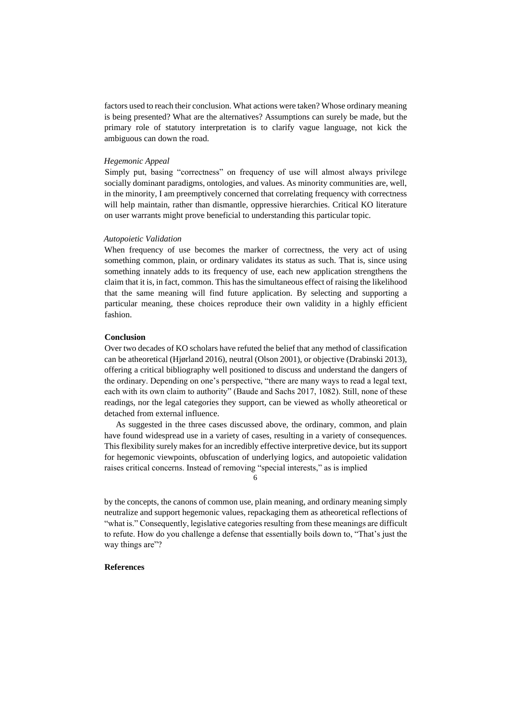factors used to reach their conclusion. What actions were taken? Whose ordinary meaning is being presented? What are the alternatives? Assumptions can surely be made, but the primary role of statutory interpretation is to clarify vague language, not kick the ambiguous can down the road.

#### *Hegemonic Appeal*

Simply put, basing "correctness" on frequency of use will almost always privilege socially dominant paradigms, ontologies, and values. As minority communities are, well, in the minority, I am preemptively concerned that correlating frequency with correctness will help maintain, rather than dismantle, oppressive hierarchies. Critical KO literature on user warrants might prove beneficial to understanding this particular topic.

#### *Autopoietic Validation*

When frequency of use becomes the marker of correctness, the very act of using something common, plain, or ordinary validates its status as such. That is, since using something innately adds to its frequency of use, each new application strengthens the claim that it is, in fact, common. This has the simultaneous effect of raising the likelihood that the same meaning will find future application. By selecting and supporting a particular meaning, these choices reproduce their own validity in a highly efficient fashion.

# **Conclusion**

Over two decades of KO scholars have refuted the belief that any method of classification can be atheoretical (Hjørland 2016), neutral (Olson 2001), or objective (Drabinski 2013), offering a critical bibliography well positioned to discuss and understand the dangers of the ordinary. Depending on one's perspective, "there are many ways to read a legal text, each with its own claim to authority" (Baude and Sachs 2017, 1082). Still, none of these readings, nor the legal categories they support, can be viewed as wholly atheoretical or detached from external influence.

As suggested in the three cases discussed above, the ordinary, common, and plain have found widespread use in a variety of cases, resulting in a variety of consequences. This flexibility surely makes for an incredibly effective interpretive device, but its support for hegemonic viewpoints, obfuscation of underlying logics, and autopoietic validation raises critical concerns. Instead of removing "special interests," as is implied

6

by the concepts, the canons of common use, plain meaning, and ordinary meaning simply neutralize and support hegemonic values, repackaging them as atheoretical reflections of "what is." Consequently, legislative categories resulting from these meanings are difficult to refute. How do you challenge a defense that essentially boils down to, "That's just the way things are"?

# **References**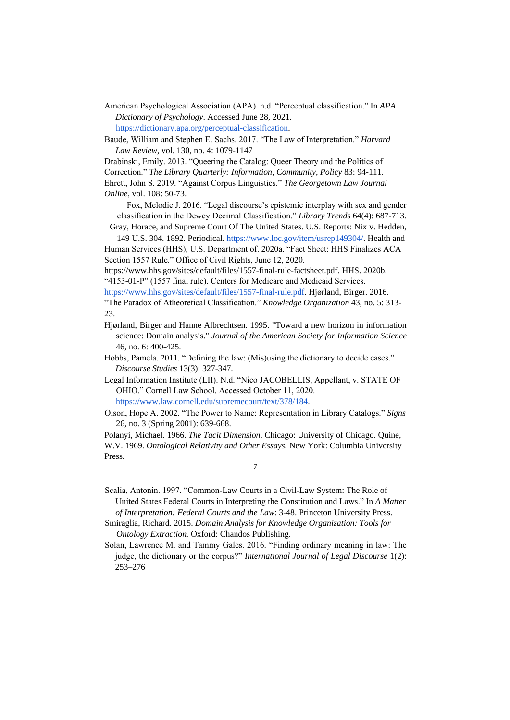American Psychological Association (APA). n.d. "Perceptual classification." In *APA Dictionary of Psychology*. Accessed June 28, 2021. https://dictionary.apa.org/perceptual-classification.

Baude, William and Stephen E. Sachs. 2017. "The Law of Interpretation." *Harvard Law Review*, vol. 130, no. 4: 1079-1147

Drabinski, Emily. 2013. "Queering the Catalog: Queer Theory and the Politics of Correction." *The Library Quarterly: Information, Community, Policy* 83: 94-111. Ehrett, John S. 2019. "Against Corpus Linguistics." *The Georgetown Law Journal Online*, vol. 108: 50-73.

Fox, Melodie J. 2016. "Legal discourse's epistemic interplay with sex and gender classification in the Dewey Decimal Classification." *Library Trends* 64(4): 687-713.

Gray, Horace, and Supreme Court Of The United States. U.S. Reports: Nix v. Hedden, 149 U.S. 304. 1892. Periodical. https://www.loc.gov/item/usrep149304/. Health and

Human Services (HHS), U.S. Department of. 2020a. "Fact Sheet: HHS Finalizes ACA Section 1557 Rule." Office of Civil Rights, June 12, 2020.

https://www.hhs.gov/sites/default/files/1557-final-rule-factsheet.pdf. HHS. 2020b. "4153-01-P" (1557 final rule). Centers for Medicare and Medicaid Services.

https://www.hhs.gov/sites/default/files/1557-final-rule.pdf. Hjørland, Birger. 2016.

"The Paradox of Atheoretical Classification." *Knowledge Organization* 43, no. 5: 313- 23.

- Hjørland, Birger and Hanne Albrechtsen. 1995. "Toward a new horizon in information science: Domain analysis." *Journal of the American Society for Information Science*  46, no. 6: 400-425.
- Hobbs, Pamela. 2011. "Defining the law: (Mis)using the dictionary to decide cases." *Discourse Studies* 13(3): 327-347.

Legal Information Institute (LII). N.d. "Nico JACOBELLIS, Appellant, v. STATE OF OHIO." Cornell Law School. Accessed October 11, 2020. https://www.law.cornell.edu/supremecourt/text/378/184.

Olson, Hope A. 2002. "The Power to Name: Representation in Library Catalogs." *Signs*  26, no. 3 (Spring 2001): 639-668.

Polanyi, Michael. 1966. *The Tacit Dimension*. Chicago: University of Chicago. Quine, W.V. 1969. *Ontological Relativity and Other Essays.* New York: Columbia University Press.

7

Scalia, Antonin. 1997. "Common-Law Courts in a Civil-Law System: The Role of United States Federal Courts in Interpreting the Constitution and Laws." In *A Matter of Interpretation: Federal Courts and the Law*: 3-48. Princeton University Press.

Smiraglia, Richard. 2015. *Domain Analysis for Knowledge Organization: Tools for Ontology Extraction.* Oxford: Chandos Publishing.

Solan, Lawrence M. and Tammy Gales. 2016. "Finding ordinary meaning in law: The judge, the dictionary or the corpus?" *International Journal of Legal Discourse* 1(2): 253–276